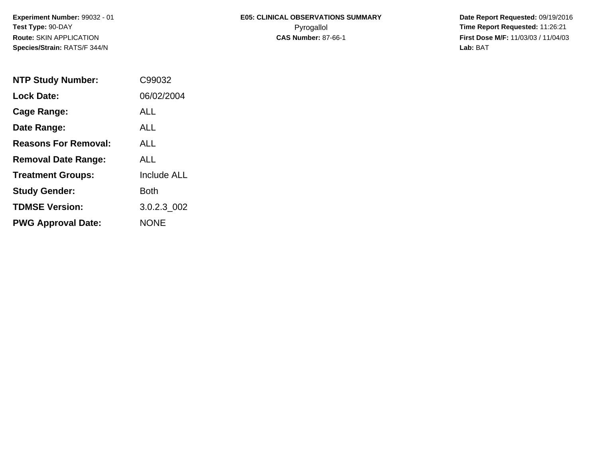# **E05: CLINICAL OBSERVATIONS SUMMARY**Pyrogallol **Time Report Requested:** 11:26:21

 **Date Report Requested:** 09/19/2016 **First Dose M/F:** 11/03/03 / 11/04/03<br>**Lab:** BAT **Lab:** BAT

| <b>NTP Study Number:</b>    | C99032             |
|-----------------------------|--------------------|
| <b>Lock Date:</b>           | 06/02/2004         |
| Cage Range:                 | ALL                |
| Date Range:                 | AI I               |
| <b>Reasons For Removal:</b> | ALL                |
| <b>Removal Date Range:</b>  | ALL                |
| <b>Treatment Groups:</b>    | <b>Include ALL</b> |
| <b>Study Gender:</b>        | Both               |
| <b>TDMSE Version:</b>       | 3.0.2.3 002        |
| <b>PWG Approval Date:</b>   | <b>NONF</b>        |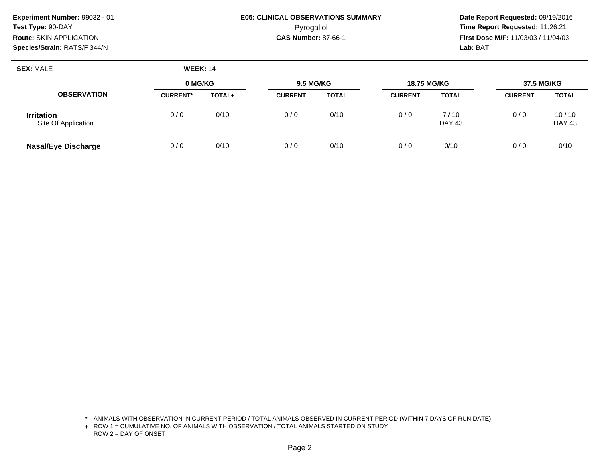#### **E05: CLINICAL OBSERVATIONS SUMMARY**Pyrogallol **Time Report Requested:** 11:26:21

 **Date Report Requested:** 09/19/2016 **First Dose M/F:** 11/03/03 / 11/04/03<br>**Lab:** BAT **Lab:** BAT

| <b>SEX: MALE</b>                         | <b>WEEK: 14</b> |        |                |                                        |                |                |                |                        |
|------------------------------------------|-----------------|--------|----------------|----------------------------------------|----------------|----------------|----------------|------------------------|
|                                          | 0 MG/KG         |        |                | <b>9.5 MG/KG</b><br><b>18.75 MG/KG</b> |                |                | 37.5 MG/KG     |                        |
| <b>OBSERVATION</b>                       | <b>CURRENT*</b> | TOTAL+ | <b>CURRENT</b> | <b>TOTAL</b>                           | <b>CURRENT</b> | <b>TOTAL</b>   | <b>CURRENT</b> | <b>TOTAL</b>           |
| <b>Irritation</b><br>Site Of Application | 0/0             | 0/10   | 0/0            | 0/10                                   | 0/0            | 7/10<br>DAY 43 | 0/0            | 10/10<br><b>DAY 43</b> |
| <b>Nasal/Eye Discharge</b>               | 0/0             | 0/10   | 0/0            | 0/10                                   | 0/0            | 0/10           | 0/0            | 0/10                   |

\* ANIMALS WITH OBSERVATION IN CURRENT PERIOD / TOTAL ANIMALS OBSERVED IN CURRENT PERIOD (WITHIN 7 DAYS OF RUN DATE)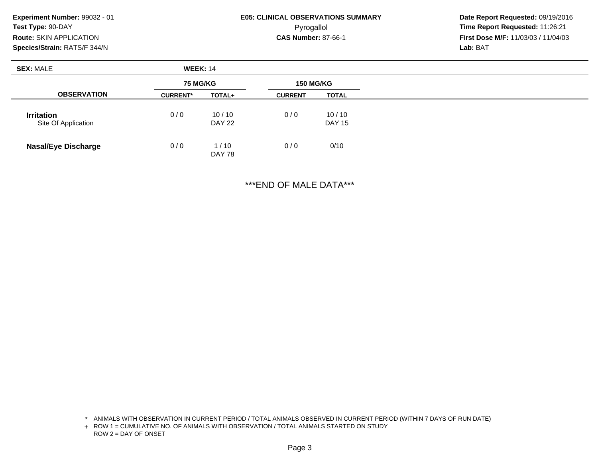### **E05: CLINICAL OBSERVATIONS SUMMARY**Pyrogallol **Time Report Requested:** 11:26:21

 **Date Report Requested:** 09/19/2016 **First Dose M/F:** 11/03/03 / 11/04/03<br>**Lab:** BAT **Lab:** BAT

| <b>SEX: MALE</b>                         | <b>WEEK: 14</b> |                        |                  |                        |  |
|------------------------------------------|-----------------|------------------------|------------------|------------------------|--|
|                                          | <b>75 MG/KG</b> |                        | <b>150 MG/KG</b> |                        |  |
| <b>OBSERVATION</b>                       | <b>CURRENT*</b> | TOTAL+                 | <b>CURRENT</b>   | <b>TOTAL</b>           |  |
| <b>Irritation</b><br>Site Of Application | 0/0             | 10/10<br><b>DAY 22</b> | 0/0              | 10/10<br><b>DAY 15</b> |  |
| <b>Nasal/Eye Discharge</b>               | 0/0             | 1/10<br><b>DAY 78</b>  | 0/0              | 0/10                   |  |

\*\*\*END OF MALE DATA\*\*\*

\* ANIMALS WITH OBSERVATION IN CURRENT PERIOD / TOTAL ANIMALS OBSERVED IN CURRENT PERIOD (WITHIN 7 DAYS OF RUN DATE)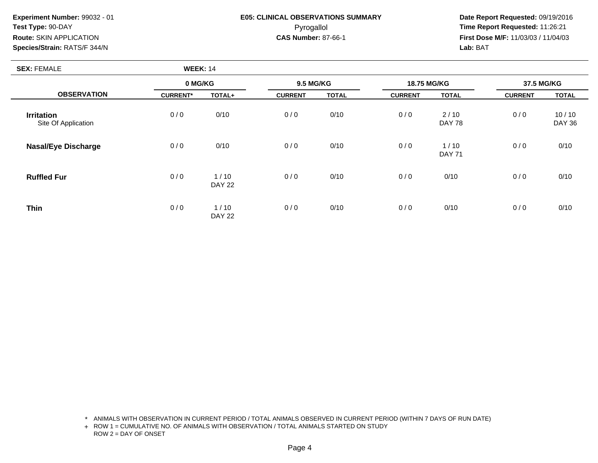## **E05: CLINICAL OBSERVATIONS SUMMARY**Pyrogallol **Time Report Requested:** 11:26:21

 **Date Report Requested:** 09/19/2016 **First Dose M/F:** 11/03/03 / 11/04/03<br>**Lab:** BAT **Lab:** BAT

| <b>SEX: FEMALE</b>                       | <b>WEEK: 14</b> |                       |                  |              |                |                       |                |                        |
|------------------------------------------|-----------------|-----------------------|------------------|--------------|----------------|-----------------------|----------------|------------------------|
|                                          | 0 MG/KG         |                       | <b>9.5 MG/KG</b> |              | 18.75 MG/KG    |                       | 37.5 MG/KG     |                        |
| <b>OBSERVATION</b>                       | <b>CURRENT*</b> | TOTAL+                | <b>CURRENT</b>   | <b>TOTAL</b> | <b>CURRENT</b> | <b>TOTAL</b>          | <b>CURRENT</b> | <b>TOTAL</b>           |
| <b>Irritation</b><br>Site Of Application | 0/0             | 0/10                  | 0/0              | 0/10         | 0/0            | 2/10<br><b>DAY 78</b> | 0/0            | 10/10<br><b>DAY 36</b> |
| <b>Nasal/Eye Discharge</b>               | 0/0             | 0/10                  | 0/0              | 0/10         | 0/0            | 1/10<br><b>DAY 71</b> | 0/0            | 0/10                   |
| <b>Ruffled Fur</b>                       | 0/0             | 1/10<br><b>DAY 22</b> | 0/0              | 0/10         | 0/0            | 0/10                  | 0/0            | 0/10                   |
| <b>Thin</b>                              | 0/0             | 1/10<br><b>DAY 22</b> | 0/0              | 0/10         | 0/0            | 0/10                  | 0/0            | 0/10                   |

\* ANIMALS WITH OBSERVATION IN CURRENT PERIOD / TOTAL ANIMALS OBSERVED IN CURRENT PERIOD (WITHIN 7 DAYS OF RUN DATE)